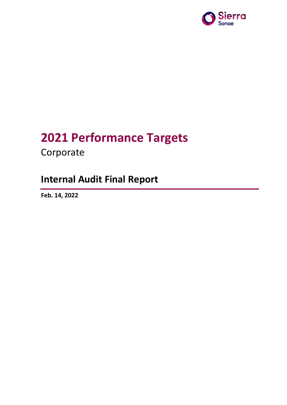

# **2021 Performance Targets**

Corporate

## **Internal Audit Final Report**

**Feb. 14, 2022**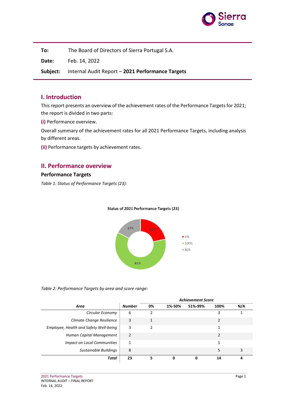

**To:** The Board of Directors of Sierra Portugal S.A.

**Date:** Feb. 14, 2022

**Subject:** Internal Audit Report – **2021 Performance Targets**

#### **I. Introduction**

This report presents an overview of the achievement rates of the Performance Targets for 2021; the report is divided in two parts:

**(i)** Performance overview.

Overall summary of the achievement rates for all 2021 Performance Targets, including analysis by different areas.

**(ii)** Performance targets by achievement rates.

#### **II. Performance overview**

#### **Performance Targets**

*Table 1: Status of Performance Targets (23):*



#### Status of 2021 Performance Targets (23)

*Table 2: Performance Targets by area and score range:*

|                                        |                | <b>Achievement Score</b> |        |         |               |     |
|----------------------------------------|----------------|--------------------------|--------|---------|---------------|-----|
| Area                                   | <b>Number</b>  | 0%                       | 1%-50% | 51%-99% | 100%          | N/A |
| Circular Economy                       | 6              |                          |        |         | 3             |     |
| Climate Change Resilience              | 3              |                          |        |         |               |     |
| Employee, Health and Safety Well-being | 3              | 2                        |        |         | 1             |     |
| Human Capital Management               | $\mathfrak{p}$ |                          |        |         | $\mathcal{P}$ |     |
| <b>Impact on Local Communities</b>     | 1              |                          |        |         | 1             |     |
| Sustainable Buildings                  | 8              |                          |        |         | 5             | 3   |
| Total                                  | 23             |                          |        |         | 14            | 4   |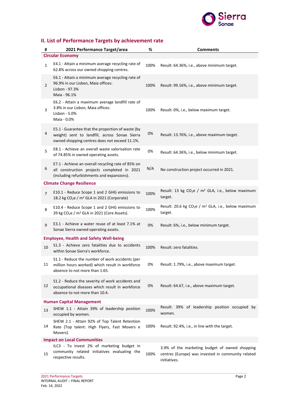

### **II. List of Performance Targets by achievement rate**

| #                                  | 2021 Performance Target/area                                                                                                                        | %    | <b>Comments</b>                                                                                                      |  |  |  |  |  |
|------------------------------------|-----------------------------------------------------------------------------------------------------------------------------------------------------|------|----------------------------------------------------------------------------------------------------------------------|--|--|--|--|--|
| <b>Circular Economy</b>            |                                                                                                                                                     |      |                                                                                                                      |  |  |  |  |  |
| $\mathbf{1}$                       | E4.1 - Attain a minimum average recycling rate of<br>62.8% across our owned shopping centres.                                                       | 100% | Result: 64.36%, i.e., above minimum target.                                                                          |  |  |  |  |  |
| $\overline{2}$                     | E6.1 - Attain a minimum average recycling rate of<br>96.9% in our Lisbon, Maia offices:<br>Lisbon - 97.3%<br>Maia - 96.1%                           | 100% | Result: 99.16%, i.e., above minimum target.                                                                          |  |  |  |  |  |
| 3                                  | E6.2 - Attain a maximum average landfill rate of<br>3.8% in our Lisbon, Maia offices:<br>Lisbon - 5.0%<br>Maia - 0.0%                               | 100% | Result: 0%, i.e., below maximum target.                                                                              |  |  |  |  |  |
| 4                                  | E5.1 - Guarantee that the proportion of waste (by<br>weight) sent to landfill, across Sonae Sierra<br>owned shopping centres does not exceed 11.1%. | 0%   | Result: 13.76%, i.e., above maximum target.                                                                          |  |  |  |  |  |
| 5                                  | E8.1 - Achieve an overall waste valorisation rate<br>of 74.85% in owned operating assets.                                                           | 0%   | Result: 64.36%, i.e., below minimum target.                                                                          |  |  |  |  |  |
| 6                                  | E7.1 - Achieve an overall recycling rate of 85% on<br>all construction projects completed in 2021<br>(including refurbishments and expansions).     | N/A  | No construction project occurred in 2021.                                                                            |  |  |  |  |  |
|                                    | <b>Climate Change Resilience</b>                                                                                                                    |      |                                                                                                                      |  |  |  |  |  |
| 7                                  | E10.1 - Reduce Scope 1 and 2 GHG emissions to<br>18.2 kg CO <sub>2</sub> e / m <sup>2</sup> GLA in 2021 (Corporate)                                 | 100% | Result: 13 kg CO <sub>2</sub> e / $m^2$ GLA, i.e., below maximum<br>target.                                          |  |  |  |  |  |
| 8                                  | E10.4 - Reduce Scope 1 and 2 GHG emissions to<br>39 kg CO <sub>2</sub> e / m <sup>2</sup> GLA in 2021 (Core Assets).                                | 100% | Result: 20.6 kg CO <sub>2</sub> e / $m^2$ GLA, i.e., below maximum<br>target.                                        |  |  |  |  |  |
| 9                                  | E3.1 - Achieve a water reuse of at least 7.1% at<br>Sonae Sierra owned operating assets.                                                            | 0%   | Result: 6%, i.e., below minimum target.                                                                              |  |  |  |  |  |
|                                    | <b>Employee, Health and Safety Well-being</b>                                                                                                       |      |                                                                                                                      |  |  |  |  |  |
| 10                                 | S1.3 - Achieve zero fatalities due to accidents<br>within Sonae Sierra's workforce.                                                                 | 100% | Result: zero fatalities.                                                                                             |  |  |  |  |  |
| 11                                 | S1.1 - Reduce the number of work accidents (per<br>million hours worked) which result in workforce<br>absence to not more than 1.65.                | 0%   | Result: 1.79%, i.e., above maximum target.                                                                           |  |  |  |  |  |
| 12                                 | S1.2 - Reduce the severity of work accidents and<br>occupational diseases which result in workforce<br>absence to not more than 10.4.               | 0%   | Result: 64.67, i.e., above maximum target.                                                                           |  |  |  |  |  |
| <b>Human Capital Management</b>    |                                                                                                                                                     |      |                                                                                                                      |  |  |  |  |  |
| 13                                 | SHEW 1.1 - Attain 39% of leadership position<br>occupied by women.                                                                                  | 100% | Result: 39% of leadership position occupied by<br>women.                                                             |  |  |  |  |  |
| 14                                 | SHEW 2.1 - Attain 92% of Top Talent Retention<br>Rate (Top talent: High Flyers, Fast Movers e<br>Movers).                                           | 100% | Result: 92.4%, i.e., in line with the target.                                                                        |  |  |  |  |  |
| <b>Impact on Local Communities</b> |                                                                                                                                                     |      |                                                                                                                      |  |  |  |  |  |
| 15                                 | ILC3 - To invest 2% of marketing budget in<br>community related initiatives evaluating the<br>respective results.                                   | 100% | 3.9% of the marketing budget of owned shopping<br>centres (Europe) was invested in community related<br>initiatives. |  |  |  |  |  |